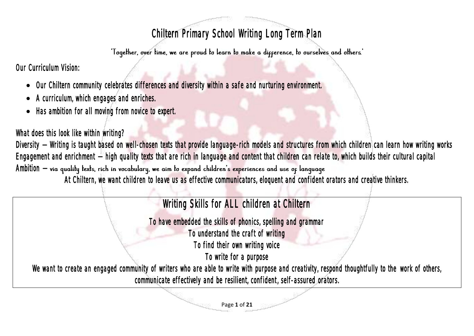## Chiltern Primary School Writing Long Term Plan

Our Curriculum Vision:

- Our Chiltern community celebrates differences and diversity within a safe and nurturing environment.
- A curriculum, which engages and enriches.
- Has ambition for all moving from novice to expert.

What does this look like within writing?

Diversity – Writing is taught based on well-chosen texts that provide language-rich models and structures from which children can learn how writing works Engagement and enrichment **–** high quality texts that are rich in language and content that children can relate to, which builds their cultural capital Ambition – via quality texts, rich in vocabulary, we aim to expand children's experiences and use of language

At Chiltern, we want children to leave us as effective communicators, eloquent and confident orators and creative thinkers.

## Writing Skills for ALL children at Chiltern

To have embedded the skills of phonics, spelling and grammar

To understand the craft of writing

To find their own writing voice

To write for a purpose

We want to create an engaged community of writers who are able to write with purpose and creativity, respond thoughtfully to the work of others, communicate effectively and be resilient, confident, self-assured orators.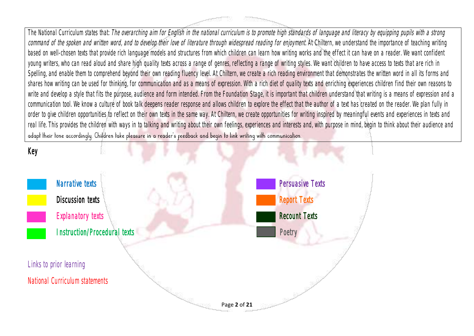The National Curriculum states that: The overarching aim for English in the national curriculum is to promote high standards of language and literacy by equipping pupils with a strong command of the spoken and written word, and to develop their love of literature through widespread reading for enjoyment. At Chiltern, we understand the importance of teaching writing based on well-chosen texts that provide rich language models and structures from which children can learn how writing works and the effect it can have on a reader. We want confident young writers, who can read aloud and share high quality texts across a range of genres, reflecting a range of writing styles. We want children to have access to texts that are rich in Spelling, and enable them to comprehend beyond their own reading fluency level. At Chiltern, we create a rich reading environment that demonstrates the written word in all its forms and shares how writing can be used for thinking, for communication and as a means of expression. With a rich diet of quality texts and enriching experiences children find their own reasons to write and develop a style that fits the purpose, audience and form intended. From the Foundation Stage, it is important that children understand that writing is a means of expression and a communication tool. We know a culture of book talk deepens reader response and allows children to explore the effect that the author of a text has created on the reader. We plan fully in order to give children opportunities to reflect on their own texts in the same way. At Chiltern, we create opportunities for writing inspired by meaningful events and experiences in texts and real life. This provides the children with ways in to talking and writing about their own feelings, experiences and interests and, with purpose in mind, begin to think about their audience and adapt their tone accordingly. Children take pleasure in a reader's peedback and begin to link writing with communication.

## Key

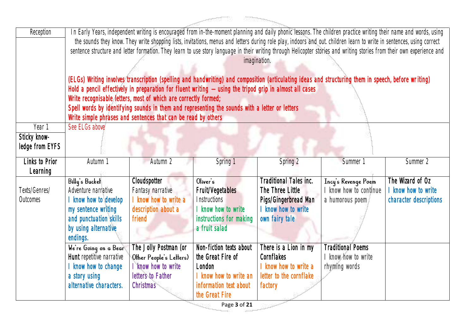| Reception | In Early Years, independent writing is encouraged from in-the-moment planning and daily phonic lessons. The children practice writing their name and words, using       |
|-----------|-------------------------------------------------------------------------------------------------------------------------------------------------------------------------|
|           | the sounds they know. They write shopping lists, invitations, menus and letters during role play, indoors and out. children learn to write in sentences, using correct  |
|           | sentence structure and letter formation. They learn to use story language in their writing through Helicopter stories and writing stories from their own experience and |
|           | imagination.                                                                                                                                                            |
|           |                                                                                                                                                                         |
|           | (ELGs) Writing involves transcription (spelling and handwriting) and composition (articulating ideas and structuring them in speech, before writing)                    |
|           | Hold a pencil effectively in preparation for fluent writing $-$ using the tripod grip in almost all cases                                                               |
|           | Write recognisable letters, most of which are correctly formed;                                                                                                         |
|           | Spell words by identifying sounds in them and representing the sounds with a letter or letters                                                                          |
|           | Write simple phrases and sentences that can be read by others                                                                                                           |

| Year 1          | See ELGs above            |                         |                         |                         |                          |                        |
|-----------------|---------------------------|-------------------------|-------------------------|-------------------------|--------------------------|------------------------|
| Sticky know-    |                           |                         |                         |                         |                          |                        |
| ledge from EYFS |                           |                         |                         |                         |                          |                        |
|                 |                           |                         |                         |                         |                          |                        |
| Links to Prior  | Autumn 1                  | Autumn 2                | Spring 1                | Spring 2                | Summer <sup>1</sup>      | Summer 2               |
| Learning        |                           |                         |                         |                         |                          |                        |
|                 | Billy's Buckel            | <b>Cloudspotter</b>     | Oliver's                | raditional Tales inc.   | Incy's Revenge Poem      | The Wizard of Oz       |
| Texts/Genres/   | Adventure narrative       | Fantasy narrative       | Fruit/Vegetables        | The Three Little        | I know how to continue   | know how to write      |
| Outcomes        | know how to develop       | know how to write a     | <i>Instructions</i>     | Pigs/Gingerbread Man    | a humorous poem          | character descriptions |
|                 | my sentence writing       | description about a     | I know how to write     | I know how to write     |                          |                        |
|                 | and punctuation skills    | friend                  | instructions for making | own fairy tale          |                          |                        |
|                 | by using alternative      |                         | a fruit salad           |                         |                          |                        |
|                 | endings.                  |                         |                         |                         |                          |                        |
|                 | We're Going on a Bear     | The Jolly Postman (or   | Non-fiction texts about | There is a Lion in my   | <b>Traditional Poems</b> |                        |
|                 | Hunt repetitive narrative | Other People's Letters) | the Great Fire of       | <b>Cornflakes</b>       | I know how to write      |                        |
|                 | know how to change        | know how to write       | London                  | I know how to write a   | rhyming words            |                        |
|                 | a story using             | letters to Father       | I know how to write an  | letter to the cornflake |                          |                        |
|                 |                           |                         |                         |                         |                          |                        |
|                 | alternative characters.   | <b>Christmas</b>        | information text about  | factory                 |                          |                        |
|                 |                           |                         | the Great Fire          |                         |                          |                        |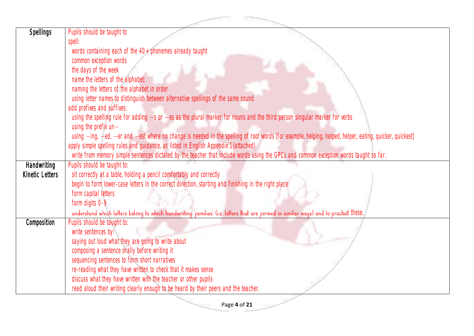| <b>Spellings</b> | Pupils should be taught to                                                                                                                              |
|------------------|---------------------------------------------------------------------------------------------------------------------------------------------------------|
|                  | spell:                                                                                                                                                  |
|                  | words containing each of the 40+ phonemes already taught                                                                                                |
|                  | common exception words                                                                                                                                  |
|                  | the days of the week                                                                                                                                    |
|                  | name the letters of the alphabet:                                                                                                                       |
|                  | naming the letters of the alphabet in order                                                                                                             |
|                  | using letter names to distinguish between alternative spellings of the same sound                                                                       |
|                  | add prefixes and suffixes:                                                                                                                              |
|                  | using the spelling rule for adding -s or -es as the plural marker for nouns and the third person singular marker for verbs                              |
|                  | using the prefix $un-$                                                                                                                                  |
|                  | using -ing, -ed, -er and -est where no change is needed in the spelling of root words [for example, helping, helped, helper, eating, quicker, quickest] |
|                  | apply simple spelling rules and guidance, as listed in English Appendix 1 (attached)                                                                    |
|                  | write from memory simple sentences dictated by the teacher that include words using the GPCs and common exception words taught so far.                  |
| Handwriting      | Pupils should be taught to:                                                                                                                             |
| Kinetic Letters  | sit correctly at a table, holding a pencil comfortably and correctly                                                                                    |
|                  | begin to form lower-case letters in the correct direction, starting and finishing in the right place                                                    |
|                  | form capital letters                                                                                                                                    |
|                  | form digits 0-9                                                                                                                                         |
|                  | understand which letters belong to which handwriting 'pamilies' (i.e. letters that are pormed in similar ways) and to practise these.                   |
| Composition      | Pupils should be taught to:                                                                                                                             |
|                  | write sentences by:                                                                                                                                     |
|                  | saying out loud what they are going to write about                                                                                                      |
|                  | composing a sentence orally before writing it                                                                                                           |
|                  | sequencing sentences to form short narratives                                                                                                           |
|                  | re-reading what they have written to check that it makes sense                                                                                          |
|                  | discuss what they have written with the teacher or other pupils                                                                                         |
|                  | read aloud their writing clearly enough to be heard by their peers and the teacher.                                                                     |
|                  | Page 4 of 21                                                                                                                                            |
|                  |                                                                                                                                                         |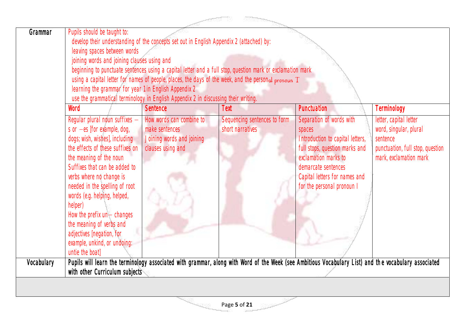| Grammar    | Pupils should be taught to:<br>leaving spaces between words<br>joining words and joining clauses using and<br>learning the grammar for year 1 in English Appendix 2                                                                                                                                                                                                                                                                                 | develop their understanding of the concepts set out in English Appendix 2 (attached) by:<br>use the grammatical terminology in English Appendix 2 in discussing their writing. | beginning to punctuate sentences using a capital letter and a full stop, question mark or exclamation mark<br>using a capital letter for names of people, places, the days of the week, and the personal pronoun 'T' |                                                                                                                                                                                                                        |                                                                                                                            |
|------------|-----------------------------------------------------------------------------------------------------------------------------------------------------------------------------------------------------------------------------------------------------------------------------------------------------------------------------------------------------------------------------------------------------------------------------------------------------|--------------------------------------------------------------------------------------------------------------------------------------------------------------------------------|----------------------------------------------------------------------------------------------------------------------------------------------------------------------------------------------------------------------|------------------------------------------------------------------------------------------------------------------------------------------------------------------------------------------------------------------------|----------------------------------------------------------------------------------------------------------------------------|
|            | Word                                                                                                                                                                                                                                                                                                                                                                                                                                                | <b>Sentence</b>                                                                                                                                                                | Text                                                                                                                                                                                                                 | Punctuation                                                                                                                                                                                                            | Terminology                                                                                                                |
|            | Regular plural noun suffixes -<br>s or $-es$ [for example, dog,<br>dogs; wish, wishes], including<br>the effects of these suffixes on<br>the meaning of the noun<br>Suffixes that can be added to<br>verbs where no change is<br>needed in the spelling of root<br>words (e.g. helping, helped,<br>helper)<br>How the prefix un-changes<br>the meaning of verbs and<br>adjectives [negation, for<br>example, unkind, or undoing:<br>untie the boat] | How words can combine to<br>make sentences<br>Joining words and joining<br>clauses using and                                                                                   | Sequencing sentences to form<br>short narratives                                                                                                                                                                     | Separation of words with<br>spaces<br>Introduction to capital letters,<br>full stops, question marks and<br>exclamation marks to<br>demarcate sentences<br>Capital letters for names and<br>for the personal pronoun I | letter, capital letter<br>word, singular, plural<br>sentence<br>punctuation, full stop, question<br>mark, exclamation mark |
| Vocabulary |                                                                                                                                                                                                                                                                                                                                                                                                                                                     |                                                                                                                                                                                | Pupils will learn the terminology associated with grammar, along with Word of the Week (see Ambitious Vocabulary List) and the vocabulary associated                                                                 |                                                                                                                                                                                                                        |                                                                                                                            |
|            | with other Curriculum subjects                                                                                                                                                                                                                                                                                                                                                                                                                      |                                                                                                                                                                                |                                                                                                                                                                                                                      |                                                                                                                                                                                                                        |                                                                                                                            |
|            |                                                                                                                                                                                                                                                                                                                                                                                                                                                     |                                                                                                                                                                                |                                                                                                                                                                                                                      |                                                                                                                                                                                                                        |                                                                                                                            |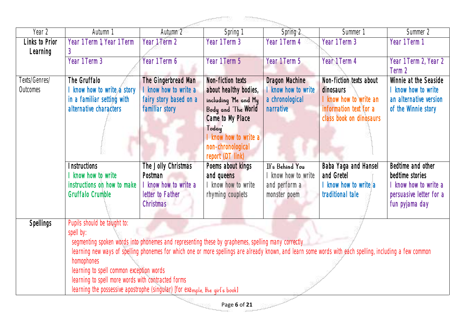|                  |                                                                                                                                                           |                        | <b>Record</b>                   |                     |                         |                         |
|------------------|-----------------------------------------------------------------------------------------------------------------------------------------------------------|------------------------|---------------------------------|---------------------|-------------------------|-------------------------|
| Year 2           | Autumn 1                                                                                                                                                  | Autumn 2               | Spring 1                        | Spring 2            | Summer 1                | Summer 2                |
| Links to Prior   | Year 1 Term 1, Year 1 Term                                                                                                                                | Year 1 Term 2          | Year 1 Term 3                   | Year 1 Term 4       | Year 1 Term 3           | Year 1 Term 1           |
| Learning         | 3                                                                                                                                                         |                        |                                 |                     |                         |                         |
|                  | Year 1 Term 3                                                                                                                                             | Year 1 Term 6          | Year 1 Term 5                   | Year 1 Term 5       | Year 1 Term 4           | Year 1 Term 2, Year 2   |
|                  |                                                                                                                                                           |                        |                                 |                     |                         | Term 2                  |
| Texts/Genres/    | The Gruffalo                                                                                                                                              | The Gingerbread Man    | Non-fiction texts               | Dragon Machine      | Non-fiction texts about | Winnie at the Seaside   |
| Outcomes         | know how to write a story                                                                                                                                 | I know how to write a  | about healthy bodies,           | I know how to write | dinosaurs               | I know how to write     |
|                  | in a familiar setting with                                                                                                                                | fairy story based on a | including 'Me and My            | a chronological     | I know how to write an  | an alternative version  |
|                  | alternative characters                                                                                                                                    | familiar story         | Body and 'The World             | narrative           | information text for a  | of the Winnie story     |
|                  |                                                                                                                                                           |                        | Came to My Place                |                     | class book on dinosaurs |                         |
|                  |                                                                                                                                                           |                        | Today <sup>'</sup>              |                     |                         |                         |
|                  |                                                                                                                                                           |                        | I know how to write a           |                     |                         |                         |
|                  |                                                                                                                                                           |                        | non-chronological               |                     |                         |                         |
|                  | <b>Instructions</b>                                                                                                                                       | The Jolly Christmas    | report (DT link)                | It's Behind You     | Baba Yaga and Hansel    | Bedtime and other       |
|                  | know how to write                                                                                                                                         | Postman                | Poems about kings<br>and queens | I know how to write | and Gretel              | bedtime stories         |
|                  | instructions on how to make                                                                                                                               | I know how to write a  | I know how to write             | and perform a       | I know how to write a   | I know how to write a   |
|                  | <b>Gruffalo Crumble</b>                                                                                                                                   | letter to Father       | rhyming couplets                | monster poem        | traditional tale        | persuasive letter for a |
|                  |                                                                                                                                                           | <b>Christmas</b>       |                                 |                     |                         | fun pyjama day          |
|                  |                                                                                                                                                           |                        |                                 |                     |                         |                         |
| <b>Spellings</b> | Pupils should be taught to:                                                                                                                               |                        |                                 |                     |                         |                         |
|                  | spell by:                                                                                                                                                 |                        |                                 |                     |                         |                         |
|                  | segmenting spoken words into phonemes and representing these by graphemes, spelling many correctly                                                        |                        |                                 |                     |                         |                         |
|                  | learning new ways of spelling phonemes for which one or more spellings are already known, and learn some words with each spelling, including a few common |                        |                                 |                     |                         |                         |
|                  | homophones                                                                                                                                                |                        |                                 |                     |                         |                         |
|                  | learning to spell common exception words                                                                                                                  |                        |                                 |                     |                         |                         |
|                  | learning to spell more words with contracted forms                                                                                                        |                        |                                 |                     |                         |                         |
|                  | learning the possessive apostrophe (singular) [for example, the qirl's book]                                                                              |                        |                                 |                     |                         |                         |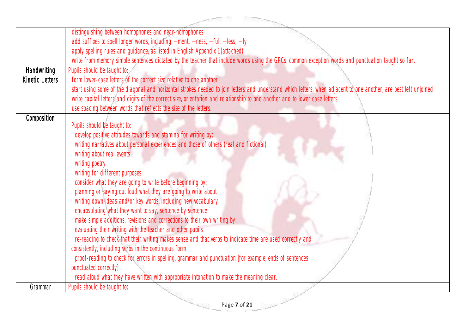|                    | distinguishing between homophones and near-homophones                                                                                                             |
|--------------------|-------------------------------------------------------------------------------------------------------------------------------------------------------------------|
|                    | add suffixes to spell longer words, including -ment, -ness, -ful, -less, -ly                                                                                      |
|                    | apply spelling rules and guidance, as listed in English Appendix 1 (attached)                                                                                     |
|                    | write from memory simple sentences dictated by the teacher that include words using the GPCs, common exception words and punctuation taught so far.               |
| <b>Handwriting</b> | Pupils should be taught to:                                                                                                                                       |
| Kinetic Letters    | form lower-case letters of the correct size relative to one another                                                                                               |
|                    | start using some of the diagonal and horizontal strokes needed to join letters and understand which letters, when adjacent to one another, are best left unjoined |
|                    | write capital letters and digits of the correct size, orientation and relationship to one another and to lower case letters                                       |
|                    | use spacing between words that reflects the size of the letters.                                                                                                  |
| Composition        | Pupils should be taught to:                                                                                                                                       |
|                    | develop positive attitudes towards and stamina for writing by:                                                                                                    |
|                    | writing narratives about personal experiences and those of others (real and fictional)                                                                            |
|                    | writing about real events                                                                                                                                         |
|                    | writing poetry                                                                                                                                                    |
|                    | writing for different purposes                                                                                                                                    |
|                    | consider what they are going to write before beginning by:                                                                                                        |
|                    | planning or saying out loud what they are going to write about                                                                                                    |
|                    | writing down ideas and/or key words, including new vocabulary                                                                                                     |
|                    | encapsulating what they want to say, sentence by sentence                                                                                                         |
|                    | make simple additions, revisions and corrections to their own writing by:                                                                                         |
|                    | evaluating their writing with the teacher and other pupils                                                                                                        |
|                    | re-reading to check that their writing makes sense and that verbs to indicate time are used correctly and                                                         |
|                    | consistently, including verbs in the continuous form                                                                                                              |
|                    | proof-reading to check for errors in spelling, grammar and punctuation [for example, ends of sentences                                                            |
|                    | punctuated correctly]                                                                                                                                             |
|                    | read aloud what they have written with appropriate intonation to make the meaning clear.                                                                          |
| Grammar            | Pupils should be taught to:                                                                                                                                       |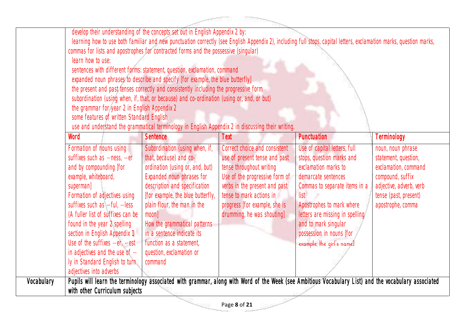|            | learn how to use:<br>the grammar for year 2 in English Appendix 2<br>some features of written Standard English                                                                                                                                                                                                                                                                                                                                                 | develop their understanding of the concepts set out in English Appendix 2 by:<br>commas for lists and apostrophes for contracted forms and the possessive (singular)<br>sentences with different forms: statement, question, exclamation, command<br>expanded noun phrases to describe and specify [for example, the blue butterfly]<br>the present and past tenses correctly and consistently including the progressive form<br>subordination (using when, if, that, or because) and co-ordination (using or, and, or but)<br>use and understand the grammatical terminology in English Appendix 2 in discussing their writing. |                                                                                                                                                                                                                                                          | learning how to use both familiar and new punctuation correctly (see English Appendix 2), including full stops, capital letters, exclamation marks, question marks,                                                                                                                                |                                                                                                                                                                |
|------------|----------------------------------------------------------------------------------------------------------------------------------------------------------------------------------------------------------------------------------------------------------------------------------------------------------------------------------------------------------------------------------------------------------------------------------------------------------------|----------------------------------------------------------------------------------------------------------------------------------------------------------------------------------------------------------------------------------------------------------------------------------------------------------------------------------------------------------------------------------------------------------------------------------------------------------------------------------------------------------------------------------------------------------------------------------------------------------------------------------|----------------------------------------------------------------------------------------------------------------------------------------------------------------------------------------------------------------------------------------------------------|----------------------------------------------------------------------------------------------------------------------------------------------------------------------------------------------------------------------------------------------------------------------------------------------------|----------------------------------------------------------------------------------------------------------------------------------------------------------------|
|            | Word                                                                                                                                                                                                                                                                                                                                                                                                                                                           | <b>Sentence</b>                                                                                                                                                                                                                                                                                                                                                                                                                                                                                                                                                                                                                  | <b>Text</b>                                                                                                                                                                                                                                              | Punctuation                                                                                                                                                                                                                                                                                        | Terminology                                                                                                                                                    |
|            | Formation of nouns using<br>suffixes such as $-\text{ness}$ , $-\text{er}$<br>and by compounding [for<br>example, whiteboard,<br>superman]<br>Formation of adjectives using<br>suffixes such as $-ful$ , $-less$<br>(A fuller list of suffixes can be<br>found in the year 2 spelling<br>section in English Appendix 1)<br>Use of the suffixes $-er$ , $-est$<br>in adjectives and the use of $-$<br>ly in Standard English to turn<br>adjectives into adverbs | Subordination (using when, if,<br>that, because) and co-<br>ordination (using or, and, but)<br>Expanded noun phrases for<br>description and specification<br>[for example, the blue butterfly,<br>plain flour, the man in the<br>moon<br>How the grammatical patterns<br>in a sentence indicate its<br>function as a statement,<br>question, exclamation or<br>command                                                                                                                                                                                                                                                           | Correct choice and consistent<br>use of present tense and past<br>tense throughout writing<br>Use of the progressive form of<br>verbs in the present and past<br>tense to mark actions in<br>progress [for example, she is<br>drumming, he was shouting] | Use of capital letters, full<br>stops, question marks and<br>exclamation marks to<br>demarcate sentences<br>Commas to separate items in a<br>list<br>Apostrophes to mark where<br>letters are missing in spelling<br>and to mark singular<br>possession in nouns [for<br>example, the qirl's namel | noun, noun phrase<br>statement, question,<br>exclamation, command<br>compound, suffix<br>adjective, adverb, verb<br>tense (past, present)<br>apostrophe, comma |
| Vocabulary | with other Curriculum subjects                                                                                                                                                                                                                                                                                                                                                                                                                                 |                                                                                                                                                                                                                                                                                                                                                                                                                                                                                                                                                                                                                                  |                                                                                                                                                                                                                                                          | Pupils will learn the terminology associated with grammar, along with Word of the Week (see Ambitious Vocabulary List) and the vocabulary associated                                                                                                                                               |                                                                                                                                                                |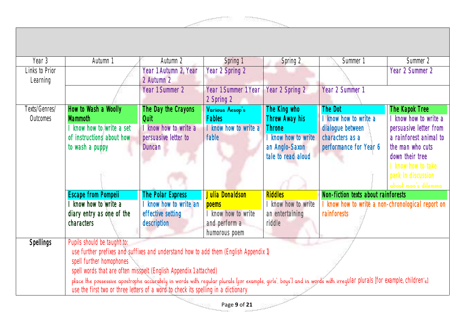| Year 3           | Autumn 1                                                                                                                                                            | Autumn 2              | Spring 1              | Spring 2           | Summer 1                                          | Summer 2               |
|------------------|---------------------------------------------------------------------------------------------------------------------------------------------------------------------|-----------------------|-----------------------|--------------------|---------------------------------------------------|------------------------|
| Links to Prior   |                                                                                                                                                                     | Year 1 Autumn 2, Year | Year 2 Spring 2       |                    |                                                   | Year 2 Summer 2        |
| Learning         |                                                                                                                                                                     | 2 Autumn 2            |                       |                    |                                                   |                        |
|                  |                                                                                                                                                                     | Year 1 Summer 2       | Year 1 Summer 1 Year  | Year 2 Spring 2    | Year 2 Summer 1                                   |                        |
|                  |                                                                                                                                                                     |                       | 2 Spring 2            |                    |                                                   |                        |
| Texts/Genres/    | How to Wash a Woolly                                                                                                                                                | The Day the Crayons   | Various Aesop's       | The King who       | The Dot                                           | The Kapok Tree         |
| Outcomes         | <b>Mammoth</b>                                                                                                                                                      | Quit                  | <b>Fables</b>         | Threw Away his     | I know how to write a                             | I know how to write a  |
|                  | know how to write a set                                                                                                                                             | I know how to write a | I know how to write a | <b>Throne</b>      | dialogue between                                  | persuasive letter from |
|                  | of instructions about how                                                                                                                                           | persuasive letter to  | fable                 | know how to write  | characters as a                                   | a rainforest animal to |
|                  | to wash a puppy                                                                                                                                                     | <b>Duncan</b>         |                       | an Anglo-Saxon     | performance for Year 6                            | the man who cuts       |
|                  |                                                                                                                                                                     |                       |                       | tale to read aloud |                                                   | down their tree        |
|                  |                                                                                                                                                                     |                       |                       |                    |                                                   | I know how to take     |
|                  |                                                                                                                                                                     |                       |                       |                    |                                                   | park in discussion     |
|                  |                                                                                                                                                                     |                       |                       |                    |                                                   | about man's dilemma    |
|                  | <b>Escape from Pompell</b>                                                                                                                                          | The Polar Express     | Julia Donaldson       | <b>Riddles</b>     | Non-fiction texts about rainforests               |                        |
|                  | know how to write a                                                                                                                                                 | know how to write an  | poems                 | know how to write  | I know how to write a non-chronological report on |                        |
|                  | diary entry as one of the                                                                                                                                           | effective setting     | know how to write     | an entertaining    | rainforests                                       |                        |
|                  | <i>characters</i>                                                                                                                                                   | description           | and perform a         | riddle             |                                                   |                        |
|                  |                                                                                                                                                                     |                       | humorous poem         |                    |                                                   |                        |
| <b>Spellings</b> | Pupils should be taught to:                                                                                                                                         |                       |                       |                    |                                                   |                        |
|                  | use further prefixes and suffixes and understand how to add them (English Appendix 1)                                                                               |                       |                       |                    |                                                   |                        |
|                  | spell further homophones<br>spell words that are often misspelt (English Appendix 1 attached)                                                                       |                       |                       |                    |                                                   |                        |
|                  |                                                                                                                                                                     |                       |                       |                    |                                                   |                        |
|                  | place the possessive apostrophe accurately in words with regular plurals [for example, girls', boys'] and in words with irregular plurals [for example, children's] |                       |                       |                    |                                                   |                        |
|                  | use the first two or three letters of a word to check its spelling in a dictionary                                                                                  |                       |                       |                    |                                                   |                        |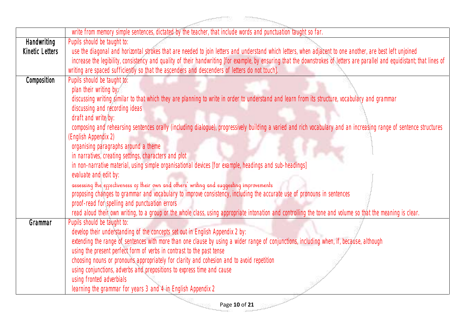|                 | write from memory simple sentences, dictated by the teacher, that include words and punctuation taught so far.                                                              |
|-----------------|-----------------------------------------------------------------------------------------------------------------------------------------------------------------------------|
| Handwriting     | Pupils should be taught to:                                                                                                                                                 |
| Kinetic Letters | use the diagonal and horizontal strokes that are needed to join letters and understand which letters, when adjacent to one another, are best left unjoined                  |
|                 | increase the legibility, consistency and quality of their handwriting [for example, by ensuring that the downstrokes of letters are parallel and equidistant; that lines of |
|                 | writing are spaced sufficiently so that the ascenders and descenders of letters do not touch].                                                                              |
| Composition     | Pupils should be taught to:                                                                                                                                                 |
|                 | plan their writing by:                                                                                                                                                      |
|                 | discussing writing similar to that which they are planning to write in order to understand and learn from its structure, vocabulary and grammar                             |
|                 | discussing and recording ideas                                                                                                                                              |
|                 | draft and write by:                                                                                                                                                         |
|                 | composing and rehearsing sentences orally (including dialogue), progressively building a varied and rich vocabulary and an increasing range of sentence structures          |
|                 | (English Appendix 2)                                                                                                                                                        |
|                 | organising paragraphs around a theme                                                                                                                                        |
|                 | in narratives, creating settings, characters and plot                                                                                                                       |
|                 | in non-narrative material, using simple organisational devices [for example, headings and sub-headings]                                                                     |
|                 | evaluate and edit by:                                                                                                                                                       |
|                 | assessing the effectiveness of their own and others' writing and suggesting improvements                                                                                    |
|                 | proposing changes to grammar and vocabulary to improve consistency, including the accurate use of pronouns in sentences                                                     |
|                 | proof-read for spelling and punctuation errors                                                                                                                              |
|                 | read aloud their own writing, to a group or the whole class, using appropriate intonation and controlling the tone and volume so that the meaning is clear.                 |
| Grammar         | Pupils should be taught to:                                                                                                                                                 |
|                 | develop their understanding of the concepts set out in English Appendix 2 by:                                                                                               |
|                 | extending the range of sentences with more than one clause by using a wider range of conjunctions, including when, if, because, although                                    |
|                 | using the present perfect form of verbs in contrast to the past tense                                                                                                       |
|                 | choosing nouns or pronouns appropriately for clarity and cohesion and to avoid repetition                                                                                   |
|                 | using conjunctions, adverbs and prepositions to express time and cause                                                                                                      |
|                 | using fronted adverbials                                                                                                                                                    |
|                 | learning the grammar for years 3 and 4 in English Appendix 2                                                                                                                |
|                 | Page 10 of 21                                                                                                                                                               |
|                 |                                                                                                                                                                             |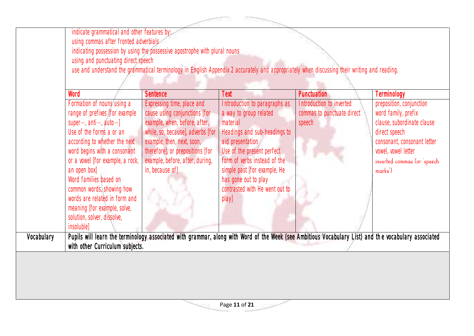|            | indicate grammatical and other features by:<br>using commas after fronted adverbials<br>using and punctuating direct speech                                                                                                                                                                                                                                                                                   | indicating possession by using the possessive apostrophe with plural nouns<br>use and understand the grammatical terminology in English Appendix 2 accurately and appropriately when discussing their writing and reading.                                |                                                                                                                                                                                                                                                                                          |                                                                  |                                                                                                                                                                                                |
|------------|---------------------------------------------------------------------------------------------------------------------------------------------------------------------------------------------------------------------------------------------------------------------------------------------------------------------------------------------------------------------------------------------------------------|-----------------------------------------------------------------------------------------------------------------------------------------------------------------------------------------------------------------------------------------------------------|------------------------------------------------------------------------------------------------------------------------------------------------------------------------------------------------------------------------------------------------------------------------------------------|------------------------------------------------------------------|------------------------------------------------------------------------------------------------------------------------------------------------------------------------------------------------|
|            | Word                                                                                                                                                                                                                                                                                                                                                                                                          | <b>Sentence</b>                                                                                                                                                                                                                                           | <b>Text</b>                                                                                                                                                                                                                                                                              | Punctuation                                                      | Terminology                                                                                                                                                                                    |
|            | Formation of nouns using a<br>range of prefixes [for example<br>super-, $anti-, auto-]$<br>Use of the forms a or an<br>according to whether the next<br>word begins with a consonant<br>or a vowel [for example, a rock,<br>an open box]<br>Word families based on<br>common words, showing how<br>words are related in form and<br>meaning [for example, solve,<br>solution, solver, dissolve,<br>insoluble] | Expressing time, place and<br>cause using conjunctions [for<br>example, when, before, after,<br>while, so, because], adverbs [for<br>example, then, next, soon,<br>therefore], or prepositions [for<br>example, before, after, during,<br>in, because of] | Introduction to paragraphs as<br>a way to group related<br>material<br>Headings and sub-headings to<br>aid presentation<br>Use of the present perfect<br>form of verbs instead of the<br>simple past [for example, He<br>has gone out to play<br>contrasted with He went out to<br>play] | Introduction to inverted<br>commas to punctuate direct<br>speech | preposition, conjunction<br>word family, prefix<br>clause, subordinate clause<br>direct speech<br>consonant, consonant letter<br>vowel, vowel letter<br>inverted commas (or 'speech<br>marks') |
| Vocabulary | with other Curriculum subjects.                                                                                                                                                                                                                                                                                                                                                                               | Pupils will learn the terminology associated with grammar, along with Word of the Week (see Ambitious Vocabulary List) and the vocabulary associated                                                                                                      |                                                                                                                                                                                                                                                                                          |                                                                  |                                                                                                                                                                                                |
|            |                                                                                                                                                                                                                                                                                                                                                                                                               |                                                                                                                                                                                                                                                           | Page 11 of 21                                                                                                                                                                                                                                                                            |                                                                  |                                                                                                                                                                                                |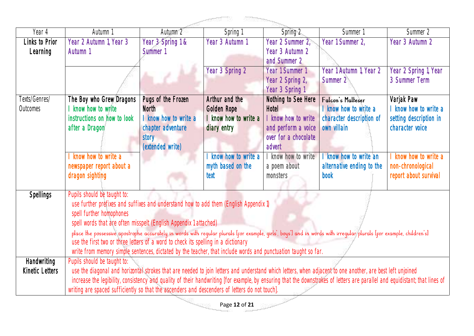|                        |                                                                                                                                                                                                                                                           |                       | <b>ROCKSONS</b><br>- 100000 |                      |                           |                        |
|------------------------|-----------------------------------------------------------------------------------------------------------------------------------------------------------------------------------------------------------------------------------------------------------|-----------------------|-----------------------------|----------------------|---------------------------|------------------------|
| Year 4                 | Autumn 1                                                                                                                                                                                                                                                  | Autumn 2              | Spring 1                    | Spring 2             | Summer 1                  | Summer 2               |
| Links to Prior         | Year 2 Autumn 1, Year 3                                                                                                                                                                                                                                   | Year 3 Spring 1 &     | Year 3 Autumn 1             | Year 2 Summer 2,     | Year 1 Summer 2,          | Year 3 Autumn 2        |
| Learning               | Autumn 1                                                                                                                                                                                                                                                  | Summer 1              |                             | Year 3 Autumn 2      |                           |                        |
|                        |                                                                                                                                                                                                                                                           |                       |                             | and Summer 2         |                           |                        |
|                        |                                                                                                                                                                                                                                                           |                       | Year 3 Spring 2             | Year 1 Summer 1      | Year 1 Autumn 1, Year 2   | Year 2 Spring 1, Year  |
|                        |                                                                                                                                                                                                                                                           |                       |                             | Year 2 Spring 2,     | Summer 2                  | 3 Summer Term          |
|                        |                                                                                                                                                                                                                                                           |                       |                             | Year 3 Spring 1      |                           |                        |
| Texts/Genres/          | The Boy who Grew Dragons                                                                                                                                                                                                                                  | Pugs of the Frozen    | Arthur and the              | Nothing to See Here  | Falcon's Malleser         | Varjak Paw             |
| Outcomes               | I know how to write                                                                                                                                                                                                                                       | <b>North</b>          | Golden Rope                 | Hotel                | know how to write a       | I know how to write a  |
|                        | instructions on how to look                                                                                                                                                                                                                               | I know how to write a | I know how to write a       | I know how to write  | character description of  | setting description in |
|                        | after a Dragon                                                                                                                                                                                                                                            | chapter adventure     | diary entry                 | and perform a voice  | own villain               | character voice        |
|                        |                                                                                                                                                                                                                                                           | story                 |                             | over for a chocolate |                           |                        |
|                        |                                                                                                                                                                                                                                                           | (extended write)      |                             | advert               |                           |                        |
|                        | I know how to write a                                                                                                                                                                                                                                     |                       | I know how to write a       | I know how to write  | know how to write an      | know how to write a    |
|                        | newspaper report about a                                                                                                                                                                                                                                  |                       | myth based on the           | a poem about         | alternative ending to the | non-chronological      |
|                        | dragon sighting                                                                                                                                                                                                                                           |                       | text                        | monsters             | book                      | report about survival  |
|                        |                                                                                                                                                                                                                                                           |                       |                             |                      |                           |                        |
| <b>Spellings</b>       | Pupils should be taught to:                                                                                                                                                                                                                               |                       |                             |                      |                           |                        |
|                        | use further prefixes and suffixes and understand how to add them (English Appendix 1)                                                                                                                                                                     |                       |                             |                      |                           |                        |
|                        | spell further homophones                                                                                                                                                                                                                                  |                       |                             |                      |                           |                        |
|                        | spell words that are often misspelt (English Appendix 1 attached)                                                                                                                                                                                         |                       |                             |                      |                           |                        |
|                        | place the possessive apostrophe accurately in words with reqular plurals [for example, qirls', boys'] and in words with irreqular plurals [for example, children's]<br>use the first two or three letters of a word to check its spelling in a dictionary |                       |                             |                      |                           |                        |
|                        | write from memory simple sentences, dictated by the teacher, that include words and punctuation taught so far.                                                                                                                                            |                       |                             |                      |                           |                        |
| <b>Handwriting</b>     | Pupils should be taught to:                                                                                                                                                                                                                               |                       |                             |                      |                           |                        |
| <b>Kinetic Letters</b> | use the diagonal and horizontal strokes that are needed to join letters and understand which letters, when adjacent to one another, are best left unjoined                                                                                                |                       |                             |                      |                           |                        |
|                        | increase the legibility, consistency and quality of their handwriting [for example, by ensuring that the downstrokes of letters are parallel and equidistant; that lines of                                                                               |                       |                             |                      |                           |                        |
|                        | writing are spaced sufficiently so that the ascenders and descenders of letters do not touch].                                                                                                                                                            |                       |                             |                      |                           |                        |

n, an

1990'<sup>n</sup>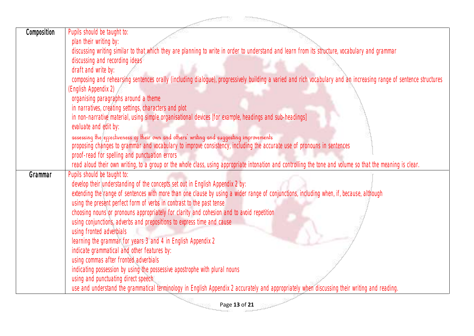|             | a protect of the                                                                                                                                                                                                    |
|-------------|---------------------------------------------------------------------------------------------------------------------------------------------------------------------------------------------------------------------|
| Composition | Pupils should be taught to:                                                                                                                                                                                         |
|             | plan their writing by:                                                                                                                                                                                              |
|             | discussing writing similar to that which they are planning to write in order to understand and learn from its structure, vocabulary and grammar                                                                     |
|             | discussing and recording ideas                                                                                                                                                                                      |
|             | draft and write by:                                                                                                                                                                                                 |
|             | composing and rehearsing sentences orally (including dialogue), progressively building a varied and rich vocabulary and an increasing range of sentence structures                                                  |
|             | (English Appendix 2)                                                                                                                                                                                                |
|             | organising paragraphs around a theme                                                                                                                                                                                |
|             | in narratives, creating settings, characters and plot                                                                                                                                                               |
|             | in non-narrative material, using simple organisational devices [for example, headings and sub-headings]                                                                                                             |
|             | evaluate and edit by:                                                                                                                                                                                               |
|             | assessing the effectiveness of their own and others' writing and suggesting improvements<br>proposing changes to grammar and vocabulary to improve consistency, including the accurate use of pronouns in sentences |
|             | proof-read for spelling and punctuation errors                                                                                                                                                                      |
|             | read aloud their own writing, to a group or the whole class, using appropriate intonation and controlling the tone and volume so that the meaning is clear.                                                         |
| Grammar     | Pupils should be taught to:                                                                                                                                                                                         |
|             | develop their understanding of the concepts set out in English Appendix 2 by:                                                                                                                                       |
|             | extending the range of sentences with more than one clause by using a wider range of conjunctions, including when, if, because, although                                                                            |
|             | using the present perfect form of verbs in contrast to the past tense                                                                                                                                               |
|             | choosing nouns or pronouns appropriately for clarity and cohesion and to avoid repetition                                                                                                                           |
|             | using conjunctions, adverbs and prepositions to express time and cause                                                                                                                                              |
|             | using fronted adverbials                                                                                                                                                                                            |
|             | learning the grammar for years 3 and 4 in English Appendix 2                                                                                                                                                        |
|             | indicate grammatical and other features by:                                                                                                                                                                         |
|             | using commas after fronted adverbials                                                                                                                                                                               |
|             | indicating possession by using the possessive apostrophe with plural nouns                                                                                                                                          |
|             | using and punctuating direct speech                                                                                                                                                                                 |
|             | use and understand the grammatical terminology in English Appendix 2 accurately and appropriately when discussing their writing and reading.                                                                        |
|             | $\sim$<br>Page 13 of 21                                                                                                                                                                                             |
|             |                                                                                                                                                                                                                     |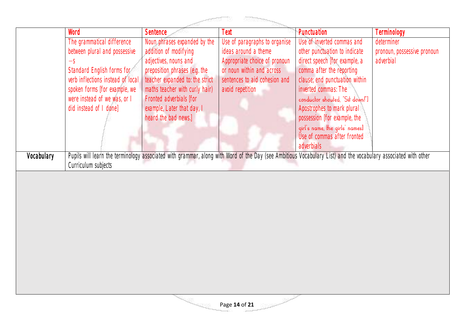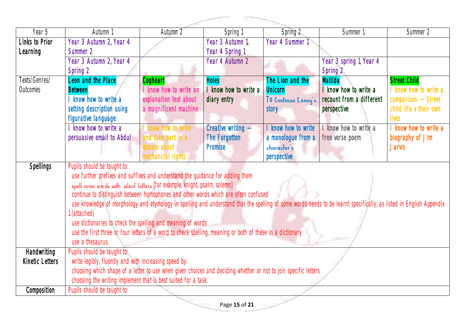|                        |                                                                                                                                                                     |                        | <b>References</b><br>a processing the |                     |                          |                        |  |
|------------------------|---------------------------------------------------------------------------------------------------------------------------------------------------------------------|------------------------|---------------------------------------|---------------------|--------------------------|------------------------|--|
| Year 5                 | Autumn 1                                                                                                                                                            | Autumn 2               | Spring 1                              | Spring 2            | Summer 1                 | Summer 2               |  |
| Links to Prior         | Year 3 Autumn 2, Year 4                                                                                                                                             |                        | Year 3 Autumn 1,                      | Year 4 Summer 1     |                          |                        |  |
| Learning               | Summer 2                                                                                                                                                            |                        | Year 4 Spring 1                       |                     |                          |                        |  |
|                        | Year 3 Autumn 2, Year 4                                                                                                                                             |                        | Year 4 Autumn 2                       |                     | Year 3 spring 1, Year 4  |                        |  |
|                        | Spring 2                                                                                                                                                            |                        |                                       |                     | Spring 2                 |                        |  |
| Texts/Genres/          | Leon and the Place                                                                                                                                                  | Cogheart               | <b>Holes</b>                          | The Lion and the    | <b>Matilda</b>           | <b>Street Child</b>    |  |
| Outcomes               | <b>Between</b>                                                                                                                                                      | I know how to write an | I know how to write a                 | <b>Unicorn</b>      | know how to write a      | I know how to write a  |  |
|                        | know how to write a                                                                                                                                                 | explanation text about | diary entry                           | To Continue Lenny's | recount from a different | $comparison - Street$  |  |
|                        | setting description using                                                                                                                                           | a magnificent machine  |                                       | story               | perspective              | child life v their own |  |
|                        | figurative language                                                                                                                                                 |                        |                                       |                     |                          | lives                  |  |
|                        | know how to write a                                                                                                                                                 | know how to write      | Creative writing -                    | I know how to write | know how to write a      | I know how to write a  |  |
|                        | persuasive email to Abdul                                                                                                                                           | and take part in a     | The Forgotten                         | a monologue from a  | free verse poem          | biography of Jim       |  |
|                        |                                                                                                                                                                     | debate about           | Promise                               | character's         |                          | <b>Jarvis</b>          |  |
|                        | Pupils should be taught to:                                                                                                                                         | mechanical rights      |                                       | perspective         |                          |                        |  |
| <b>Spellings</b>       | use further prefixes and suffixes and understand the guidance for adding them                                                                                       |                        |                                       |                     |                          |                        |  |
|                        |                                                                                                                                                                     |                        |                                       |                     |                          |                        |  |
|                        | spell some words with 'silent' letters [for example, knight, psalm, solemn]<br>continue to distinguish between homophones and other words which are often confused  |                        |                                       |                     |                          |                        |  |
|                        | use knowledge of morphology and etymology in spelling and understand that the spelling of some words needs to be learnt specifically, as listed in English Appendix |                        |                                       |                     |                          |                        |  |
|                        | (attached)                                                                                                                                                          |                        |                                       |                     |                          |                        |  |
|                        | use dictionaries to check the spelling and meaning of words                                                                                                         |                        |                                       |                     |                          |                        |  |
|                        | use the first three or four letters of a word to check spelling, meaning or both of these in a dictionary                                                           |                        |                                       |                     |                          |                        |  |
|                        | use a thesaurus.                                                                                                                                                    |                        |                                       |                     |                          |                        |  |
| Handwriting            | Pupils should be taught to:                                                                                                                                         |                        |                                       |                     |                          |                        |  |
| <b>Kinetic Letters</b> | write legibly, fluently and with increasing speed by:                                                                                                               |                        |                                       |                     |                          |                        |  |
|                        | choosing which shape of a letter to use when given choices and deciding whether or not to join specific letters                                                     |                        |                                       |                     |                          |                        |  |
|                        | choosing the writing implement that is best suited for a task.                                                                                                      |                        |                                       |                     |                          |                        |  |
| Composition            | Pupils should be taught to:                                                                                                                                         |                        |                                       |                     |                          |                        |  |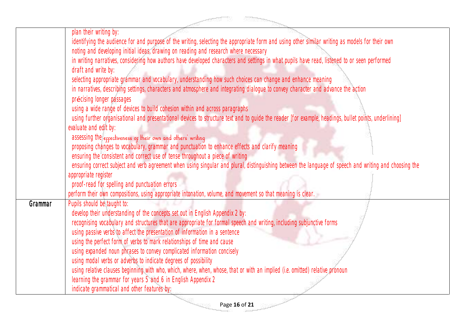|         | plan their writing by:                                                                                                                                 |
|---------|--------------------------------------------------------------------------------------------------------------------------------------------------------|
|         | identifying the audience for and purpose of the writing, selecting the appropriate form and using other similar writing as models for their own        |
|         | noting and developing initial ideas, drawing on reading and research where necessary                                                                   |
|         | in writing narratives, considering how authors have developed characters and settings in what pupils have read, listened to or seen performed          |
|         | draft and write by:                                                                                                                                    |
|         | selecting appropriate grammar and vocabulary, understanding how such choices can change and enhance meaning                                            |
|         | in narratives, describing settings, characters and atmosphere and integrating dialogue to convey character and advance the action                      |
|         | précising longer passages                                                                                                                              |
|         | using a wide range of devices to build cohesion within and across paragraphs                                                                           |
|         | using further organisational and presentational devices to structure text and to guide the reader [for example, headings, bullet points, underlining]  |
|         | evaluate and edit by:                                                                                                                                  |
|         | assessing the eppectiveness op their own and others' writing                                                                                           |
|         | proposing changes to vocabulary, grammar and punctuation to enhance effects and clarify meaning                                                        |
|         | ensuring the consistent and correct use of tense throughout a piece of writing                                                                         |
|         | ensuring correct subject and verb agreement when using singular and plural, distinguishing between the language of speech and writing and choosing the |
|         | appropriate register                                                                                                                                   |
|         | proof-read for spelling and punctuation errors                                                                                                         |
|         | perform their own compositions, using appropriate intonation, volume, and movement so that meaning is clear.                                           |
| Grammar | Pupils should be taught to:                                                                                                                            |
|         | develop their understanding of the concepts set out in English Appendix 2 by:                                                                          |
|         | recognising vocabulary and structures that are appropriate for formal speech and writing, including subjunctive forms                                  |
|         | using passive verbs to affect the presentation of information in a sentence                                                                            |
|         | using the perfect form of verbs to mark relationships of time and cause                                                                                |
|         | using expanded noun phrases to convey complicated information concisely                                                                                |
|         | using modal verbs or adverbs to indicate degrees of possibility                                                                                        |
|         | using relative clauses beginning with who, which, where, when, whose, that or with an implied (i.e. omitted) relative pronoun                          |
|         | learning the grammar for years 5 and 6 in English Appendix 2                                                                                           |
|         | indicate grammatical and other features by:                                                                                                            |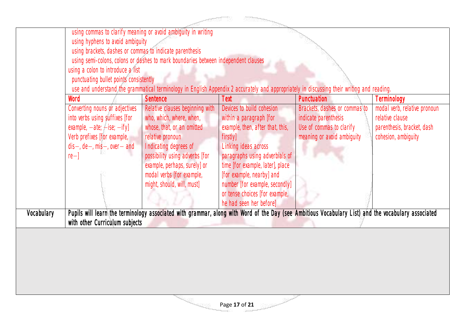|            |                                                          | using commas to clarify meaning or avoid ambiguity in writing                                                                                       |                                  |                               |                              |
|------------|----------------------------------------------------------|-----------------------------------------------------------------------------------------------------------------------------------------------------|----------------------------------|-------------------------------|------------------------------|
|            | using hyphens to avoid ambiguity                         |                                                                                                                                                     |                                  |                               |                              |
|            | using brackets, dashes or commas to indicate parenthesis |                                                                                                                                                     |                                  |                               |                              |
|            |                                                          | using semi-colons, colons or dashes to mark boundaries between independent clauses                                                                  |                                  |                               |                              |
|            | using a colon to introduce a list                        |                                                                                                                                                     |                                  |                               |                              |
|            | punctuating bullet points consistently                   |                                                                                                                                                     |                                  |                               |                              |
|            |                                                          | use and understand the grammatical terminology in English Appendix 2 accurately and appropriately in discussing their writing and reading.          |                                  |                               |                              |
|            | Word                                                     | <b>Sentence</b>                                                                                                                                     | Text                             | <b>Punctuation</b>            | Terminology                  |
|            | Converting nouns or adjectives                           | Relative clauses beginning with                                                                                                                     | Devices to build cohesion        | Brackets, dashes or commas to | modal verb, relative pronoun |
|            | into verbs using suffixes [for                           | who, which, where, when,                                                                                                                            | within a paragraph [for          | indicate parenthesis          | relative clause              |
|            | example, $-\text{ate}$ ; $-\text{ise}$ ; $-\text{ify}$ ] | whose, that, or an omitted                                                                                                                          | example, then, after that, this, | Use of commas to clarify      | parenthesis, bracket, dash   |
|            | Verb prefixes [for example,                              | relative pronoun                                                                                                                                    | firstly]                         | meaning or avoid ambiguity    | cohesion, ambiquity          |
|            | $dis-, de-, mis-, over-$ and                             | Indicating degrees of                                                                                                                               | Linking ideas across             |                               |                              |
|            | $re-$                                                    | possibility using adverbs [for                                                                                                                      | paragraphs using adverbials of   |                               |                              |
|            |                                                          | example, perhaps, surely] or                                                                                                                        | time [for example, later], place |                               |                              |
|            |                                                          | modal verbs [for example,                                                                                                                           | [for example, nearby] and        |                               |                              |
|            |                                                          | might, should, will, must]                                                                                                                          | number [for example, secondly]   |                               |                              |
|            |                                                          |                                                                                                                                                     | or tense choices [for example,   |                               |                              |
|            |                                                          |                                                                                                                                                     | he had seen her before]          |                               |                              |
| Vocabulary |                                                          | Pupils will learn the terminology associated with grammar, along with Word of the Day (see Ambitious Vocabulary List) and the vocabulary associated |                                  |                               |                              |
|            | with other Curriculum subjects                           |                                                                                                                                                     |                                  |                               |                              |
|            |                                                          |                                                                                                                                                     |                                  |                               |                              |
|            |                                                          |                                                                                                                                                     |                                  |                               |                              |
|            |                                                          |                                                                                                                                                     |                                  |                               |                              |
|            |                                                          |                                                                                                                                                     |                                  |                               |                              |
|            |                                                          |                                                                                                                                                     |                                  |                               |                              |
|            |                                                          |                                                                                                                                                     |                                  |                               |                              |
|            |                                                          |                                                                                                                                                     |                                  |                               |                              |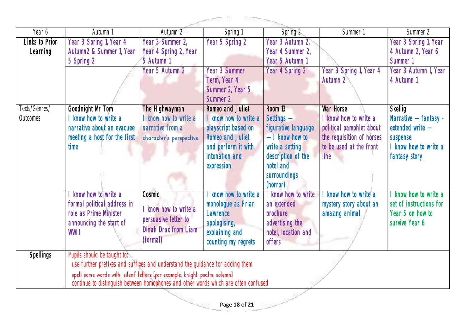| Year 6           | Autumn 1                                                                            | Autumn 2                    | Spring 1                | Spring 2            | Summer <sup>1</sup>       | Summer 2                |  |  |
|------------------|-------------------------------------------------------------------------------------|-----------------------------|-------------------------|---------------------|---------------------------|-------------------------|--|--|
| Links to Prior   | Year 3 Spring 1, Year 4                                                             | Year 3 Summer 2,            | Year 5 Spring 2         | Year 3 Autumn 2,    |                           | Year 3 Spring 1, Year   |  |  |
| Learning         | Autumn2 & Summer 1, Year                                                            | Year 4 Spring 2, Year       |                         | Year 4 Summer 2,    |                           | 4 Autumn 2, Year 6      |  |  |
|                  | 5 Spring 2                                                                          | 5 Autumn 1                  |                         | Year 5 Autumn 1     |                           | Summer 1                |  |  |
|                  |                                                                                     | Year 5 Autumn 2             | <b>Year 3 Summer</b>    | Year 4 Spring 2     | Year 3 Spring 1, Year 4   | Year 3 Autumn 1, Year   |  |  |
|                  |                                                                                     |                             | Term, Year 4            |                     | Autumn 2                  | 4 Autumn 1              |  |  |
|                  |                                                                                     |                             | Summer 2, Year 5        |                     |                           |                         |  |  |
|                  |                                                                                     |                             | Summer 2                |                     |                           |                         |  |  |
| Texts/Genres/    | Goodnight Mr Tom                                                                    | The Highwayman              | Romeo and Juliet        | Room 13             | <b>War Horse</b>          | <b>Skellig</b>          |  |  |
| Outcomes         | I know how to write a                                                               | know how to write a         | I know how to write a   | Settings -          | I know how to write a     | Narrative - fantasy -   |  |  |
|                  | narrative about an evacuee                                                          | narrative from a            | playscript based on     | figurative language | political pamphlet about  | extended write -        |  |  |
|                  | meeting a host for the first                                                        | character's perspective     | <b>Romeo and Juliet</b> | $-$ 1 know how to   | the requisition of horses | suspense                |  |  |
|                  | time                                                                                |                             | and perform it with     | write a setting     | to be used at the front   | I know how to write a   |  |  |
|                  |                                                                                     |                             | intonation and          | description of the  | line                      | fantasy story           |  |  |
|                  |                                                                                     |                             | expression              | hotel and           |                           |                         |  |  |
|                  |                                                                                     |                             |                         | surroundings        |                           |                         |  |  |
|                  |                                                                                     |                             |                         | (horror)            |                           |                         |  |  |
|                  | I know how to write a                                                               | Cosmic                      | I know how to write a   | know how to write   | know how to write a       | know how to write a     |  |  |
|                  | formal political address in                                                         | know how to write a         | monologue as Friar      | an extended         | mystery story about an    | set of instructions for |  |  |
|                  | role as Prime Minister                                                              | persuasive letter to        | Lawrence                | brochure            | amazing animal            | Year 5 on how to        |  |  |
|                  | announcing the start of                                                             | <b>Dinah Drax from Liam</b> | apologising,            | advertising the     |                           | survive Year 6          |  |  |
|                  | WW11                                                                                |                             | explaining and          | hotel, location and |                           |                         |  |  |
|                  |                                                                                     | (formal)                    | counting my regrets     | offers              |                           |                         |  |  |
| <b>Spellings</b> | Pupils should be taught to:                                                         |                             |                         |                     |                           |                         |  |  |
|                  | use further prefixes and suffixes and understand the guidance for adding them       |                             |                         |                     |                           |                         |  |  |
|                  | spell some words with 'silent' letters [for example, knight, psalm, solemn]         |                             |                         |                     |                           |                         |  |  |
|                  | continue to distinguish between homophones and other words which are often confused |                             |                         |                     |                           |                         |  |  |
|                  |                                                                                     |                             |                         |                     |                           |                         |  |  |
| Page 18 of 21    |                                                                                     |                             |                         |                     |                           |                         |  |  |
|                  |                                                                                     |                             |                         |                     |                           |                         |  |  |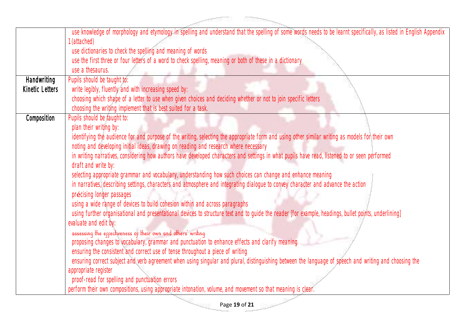|                    | use knowledge of morphology and etymology in spelling and understand that the spelling of some words needs to be learnt specifically, as listed in English Appendix |
|--------------------|---------------------------------------------------------------------------------------------------------------------------------------------------------------------|
|                    | (attached)                                                                                                                                                          |
|                    | use dictionaries to check the spelling and meaning of words                                                                                                         |
|                    | use the first three or four letters of a word to check spelling, meaning or both of these in a dictionary                                                           |
|                    | use a thesaurus.                                                                                                                                                    |
| <b>Handwriting</b> | Pupils should be taught to:                                                                                                                                         |
| Kinetic Letters    | write legibly, fluently and with increasing speed by:                                                                                                               |
|                    | choosing which shape of a letter to use when given choices and deciding whether or not to join specific letters                                                     |
|                    | choosing the writing implement that is best suited for a task.                                                                                                      |
| Composition        | Pupils should be taught to:                                                                                                                                         |
|                    | plan their writing by:                                                                                                                                              |
|                    | identifying the audience for and purpose of the writing, selecting the appropriate form and using other similar writing as models for their own                     |
|                    | noting and developing initial ideas, drawing on reading and research where necessary                                                                                |
|                    | in writing narratives, considering how authors have developed characters and settings in what pupils have read, listened to or seen performed                       |
|                    | draft and write by:                                                                                                                                                 |
|                    | selecting appropriate grammar and vocabulary, understanding how such choices can change and enhance meaning                                                         |
|                    | in narratives, describing settings, characters and atmosphere and integrating dialogue to convey character and advance the action                                   |
|                    | précising longer passages                                                                                                                                           |
|                    | using a wide range of devices to build cohesion within and across paragraphs                                                                                        |
|                    | using further organisational and presentational devices to structure text and to guide the reader [for example, headings, bullet points, underlining]               |
|                    | evaluate and edit by:                                                                                                                                               |
|                    | assessing the eppectiveness op their own and others' writing                                                                                                        |
|                    | proposing changes to vocabulary, grammar and punctuation to enhance effects and clarify meaning                                                                     |
|                    | ensuring the consistent and correct use of tense throughout a piece of writing                                                                                      |
|                    | ensuring correct subject and verb agreement when using singular and plural, distinguishing between the language of speech and writing and choosing the              |
|                    | appropriate register                                                                                                                                                |
|                    | proof-read for spelling and punctuation errors                                                                                                                      |
|                    | perform their own compositions, using appropriate intonation, volume, and movement so that meaning is clear.                                                        |
|                    |                                                                                                                                                                     |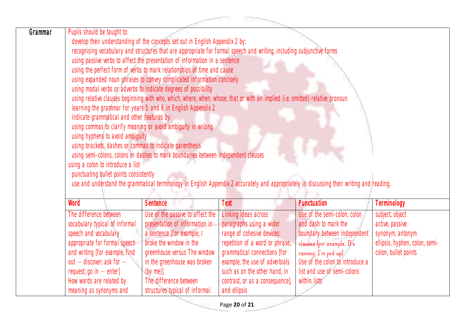| <b>ROSSOON</b> |                                                                                                                                                                                                                                                                                                                                                                                                                                                                                                                                                                                                                                                                                                                                                                                                                                                                                                                                                                                                                                                                                                                                                                                                                                                                                   |                                                                                                                                                                                                                                                                         |                                                                                                                                                                                                                                                                         |                                                                                                                                                                                                                              |                                                                                                                  |  |  |
|----------------|-----------------------------------------------------------------------------------------------------------------------------------------------------------------------------------------------------------------------------------------------------------------------------------------------------------------------------------------------------------------------------------------------------------------------------------------------------------------------------------------------------------------------------------------------------------------------------------------------------------------------------------------------------------------------------------------------------------------------------------------------------------------------------------------------------------------------------------------------------------------------------------------------------------------------------------------------------------------------------------------------------------------------------------------------------------------------------------------------------------------------------------------------------------------------------------------------------------------------------------------------------------------------------------|-------------------------------------------------------------------------------------------------------------------------------------------------------------------------------------------------------------------------------------------------------------------------|-------------------------------------------------------------------------------------------------------------------------------------------------------------------------------------------------------------------------------------------------------------------------|------------------------------------------------------------------------------------------------------------------------------------------------------------------------------------------------------------------------------|------------------------------------------------------------------------------------------------------------------|--|--|
| Grammar        | Pupils should be taught to:<br>develop their understanding of the concepts set out in English Appendix 2 by:<br>recognising vocabulary and structures that are appropriate for formal speech and writing, including subjunctive forms<br>using passive verbs to affect the presentation of information in a sentence<br>using the perfect form of verbs to mark relationships of time and cause<br>using expanded noun phrases to convey complicated information concisely<br>using modal verbs or adverbs to indicate degrees of possibility<br>using relative clauses beginning with who, which, where, when, whose, that or with an implied (i.e. omitted) relative pronoun<br>learning the grammar for years 5 and 6 in English Appendix 2<br>indicate grammatical and other features by:<br>using commas to clarify meaning or avoid ambiguity in writing<br>using hyphens to avoid ambiguity<br>using brackets, dashes or commas to indicate parenthesis<br>using semi-colons, colons or dashes to mark boundaries between independent clauses<br>using a colon to introduce a list<br>punctuating bullet points consistently<br>use and understand the grammatical terminology in English Appendix 2 accurately and appropriately in discussing their writing and reading. |                                                                                                                                                                                                                                                                         |                                                                                                                                                                                                                                                                         |                                                                                                                                                                                                                              |                                                                                                                  |  |  |
|                | Word                                                                                                                                                                                                                                                                                                                                                                                                                                                                                                                                                                                                                                                                                                                                                                                                                                                                                                                                                                                                                                                                                                                                                                                                                                                                              | <b>Sentence</b>                                                                                                                                                                                                                                                         | Text                                                                                                                                                                                                                                                                    | Punctuation                                                                                                                                                                                                                  | Terminology                                                                                                      |  |  |
|                | The difference between<br>vocabulary typical of informal<br>speech and vocabulary<br>appropriate for formal speech<br>and writing [for example, find<br>out $-$ discover; ask for $-$<br>request; go in $-$ enter]<br>How words are related by<br>meaning as synonyms and                                                                                                                                                                                                                                                                                                                                                                                                                                                                                                                                                                                                                                                                                                                                                                                                                                                                                                                                                                                                         | Use of the passive to affect the<br>presentation of information in<br>a sentence [for example, I<br>broke the window in the<br>greenhouse versus The window<br>in the greenhouse was broken<br>$(by me)$ ].<br>The difference between<br>structures typical of informal | Linking ideas across<br>paragraphs using a wider<br>range of cohesive devices:<br>repetition of a word or phrase,<br>grammatical connections [for<br>example, the use of adverbials<br>such as on the other hand, in<br>contrast, or as a consequence],<br>and ellipsis | Use of the semi-colon, colon<br>and dash to mark the<br>boundary between independent<br>clauses [por example, Il's<br>raining; I'm ped upl<br>Use of the colon to introduce a<br>list and use of semi-colons<br>within lists | subject, object<br>active, passive<br>synonym, antonym<br>ellipsis, hyphen, colon, semi-<br>colon, bullet points |  |  |